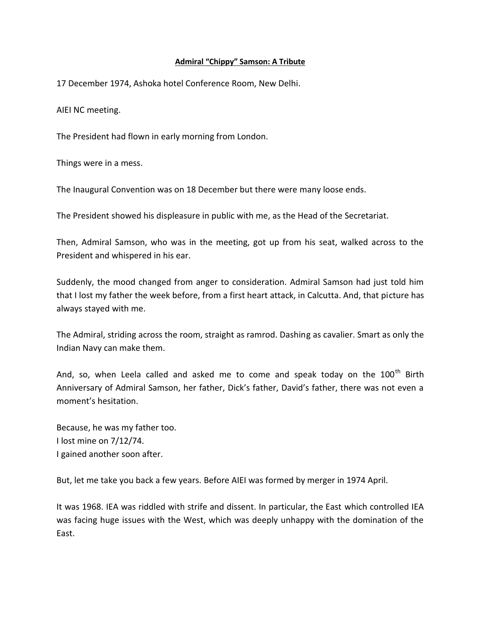## **Admiral "Chippy" Samson: A Tribute**

17 December 1974, Ashoka hotel Conference Room, New Delhi.

AIEI NC meeting.

The President had flown in early morning from London.

Things were in a mess.

The Inaugural Convention was on 18 December but there were many loose ends.

The President showed his displeasure in public with me, as the Head of the Secretariat.

Then, Admiral Samson, who was in the meeting, got up from his seat, walked across to the President and whispered in his ear.

Suddenly, the mood changed from anger to consideration. Admiral Samson had just told him that I lost my father the week before, from a first heart attack, in Calcutta. And, that picture has always stayed with me.

The Admiral, striding across the room, straight as ramrod. Dashing as cavalier. Smart as only the Indian Navy can make them.

And, so, when Leela called and asked me to come and speak today on the 100<sup>th</sup> Birth Anniversary of Admiral Samson, her father, Dick's father, David's father, there was not even a moment's hesitation.

Because, he was my father too. I lost mine on 7/12/74. I gained another soon after.

But, let me take you back a few years. Before AIEI was formed by merger in 1974 April.

It was 1968. IEA was riddled with strife and dissent. In particular, the East which controlled IEA was facing huge issues with the West, which was deeply unhappy with the domination of the East.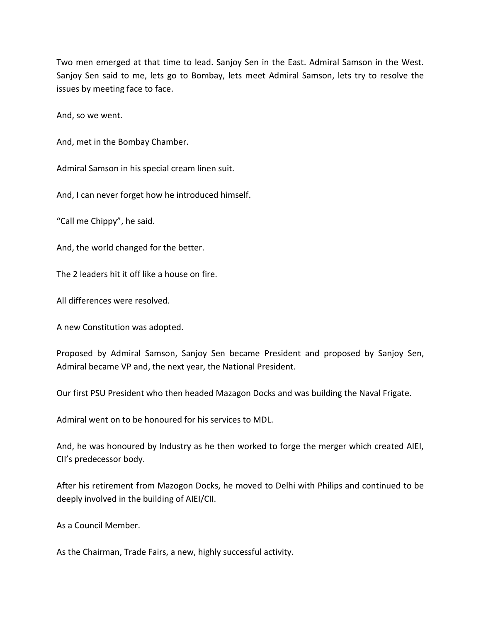Two men emerged at that time to lead. Sanjoy Sen in the East. Admiral Samson in the West. Sanjoy Sen said to me, lets go to Bombay, lets meet Admiral Samson, lets try to resolve the issues by meeting face to face.

And, so we went.

And, met in the Bombay Chamber.

Admiral Samson in his special cream linen suit.

And, I can never forget how he introduced himself.

"Call me Chippy", he said.

And, the world changed for the better.

The 2 leaders hit it off like a house on fire.

All differences were resolved.

A new Constitution was adopted.

Proposed by Admiral Samson, Sanjoy Sen became President and proposed by Sanjoy Sen, Admiral became VP and, the next year, the National President.

Our first PSU President who then headed Mazagon Docks and was building the Naval Frigate.

Admiral went on to be honoured for his services to MDL.

And, he was honoured by Industry as he then worked to forge the merger which created AIEI, CII's predecessor body.

After his retirement from Mazogon Docks, he moved to Delhi with Philips and continued to be deeply involved in the building of AIEI/CII.

As a Council Member.

As the Chairman, Trade Fairs, a new, highly successful activity.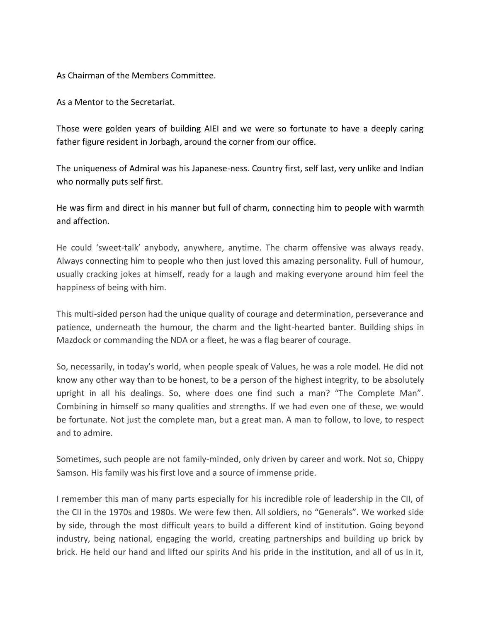As Chairman of the Members Committee.

As a Mentor to the Secretariat.

Those were golden years of building AIEI and we were so fortunate to have a deeply caring father figure resident in Jorbagh, around the corner from our office.

The uniqueness of Admiral was his Japanese-ness. Country first, self last, very unlike and Indian who normally puts self first.

He was firm and direct in his manner but full of charm, connecting him to people with warmth and affection.

He could 'sweet-talk' anybody, anywhere, anytime. The charm offensive was always ready. Always connecting him to people who then just loved this amazing personality. Full of humour, usually cracking jokes at himself, ready for a laugh and making everyone around him feel the happiness of being with him.

This multi-sided person had the unique quality of courage and determination, perseverance and patience, underneath the humour, the charm and the light-hearted banter. Building ships in Mazdock or commanding the NDA or a fleet, he was a flag bearer of courage.

So, necessarily, in today's world, when people speak of Values, he was a role model. He did not know any other way than to be honest, to be a person of the highest integrity, to be absolutely upright in all his dealings. So, where does one find such a man? "The Complete Man". Combining in himself so many qualities and strengths. If we had even one of these, we would be fortunate. Not just the complete man, but a great man. A man to follow, to love, to respect and to admire.

Sometimes, such people are not family-minded, only driven by career and work. Not so, Chippy Samson. His family was his first love and a source of immense pride.

I remember this man of many parts especially for his incredible role of leadership in the CII, of the CII in the 1970s and 1980s. We were few then. All soldiers, no "Generals". We worked side by side, through the most difficult years to build a different kind of institution. Going beyond industry, being national, engaging the world, creating partnerships and building up brick by brick. He held our hand and lifted our spirits And his pride in the institution, and all of us in it,